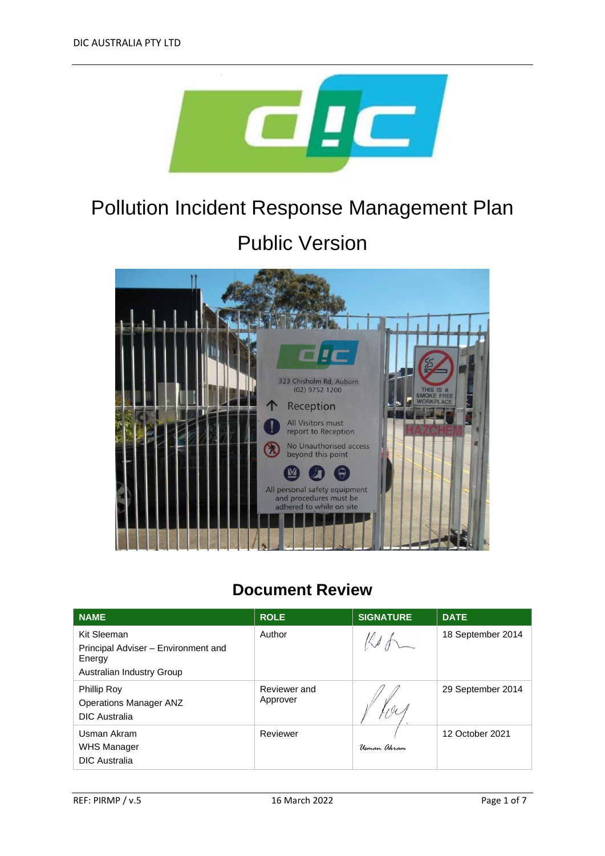

# Pollution Incident Response Management Plan Public Version



#### **Document Review**

| <b>NAME</b>                                                                               | <b>ROLE</b>              | <b>SIGNATURE</b> | <b>DATE</b>       |
|-------------------------------------------------------------------------------------------|--------------------------|------------------|-------------------|
| Kit Sleeman<br>Principal Adviser - Environment and<br>Energy<br>Australian Industry Group | Author                   |                  | 18 September 2014 |
| <b>Phillip Roy</b><br><b>Operations Manager ANZ</b><br><b>DIC</b> Australia               | Reviewer and<br>Approver |                  | 29 September 2014 |
| Usman Akram<br>WHS Manager<br><b>DIC</b> Australia                                        | Reviewer                 | Usman akram      | 12 October 2021   |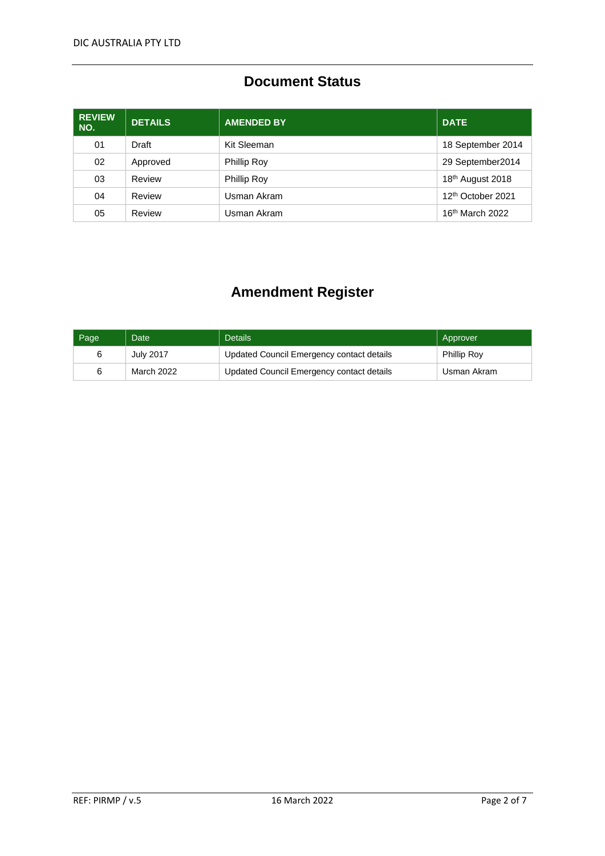#### **Document Status**

| <b>REVIEW</b><br>NO. | <b>DETAILS</b> | <b>AMENDED BY</b>  | <b>DATE</b>                   |
|----------------------|----------------|--------------------|-------------------------------|
| 01                   | Draft          | Kit Sleeman        | 18 September 2014             |
| 02                   | Approved       | Phillip Roy        | 29 September2014              |
| 03                   | Review         | <b>Phillip Roy</b> | 18th August 2018              |
| 04                   | Review         | Usman Akram        | 12 <sup>th</sup> October 2021 |
| 05                   | Review         | Usman Akram        | 16 <sup>th</sup> March 2022   |

### **Amendment Register**

| Page | Date             | <b>Details</b>                            | Approver           |
|------|------------------|-------------------------------------------|--------------------|
| 6    | <b>July 2017</b> | Updated Council Emergency contact details | <b>Phillip Roy</b> |
| 6    | March 2022       | Updated Council Emergency contact details | Usman Akram        |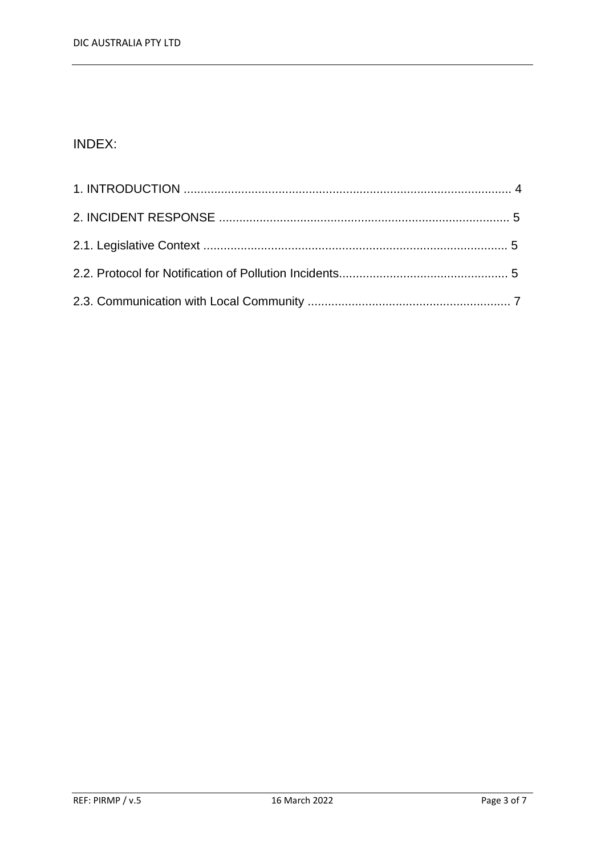#### INDEX: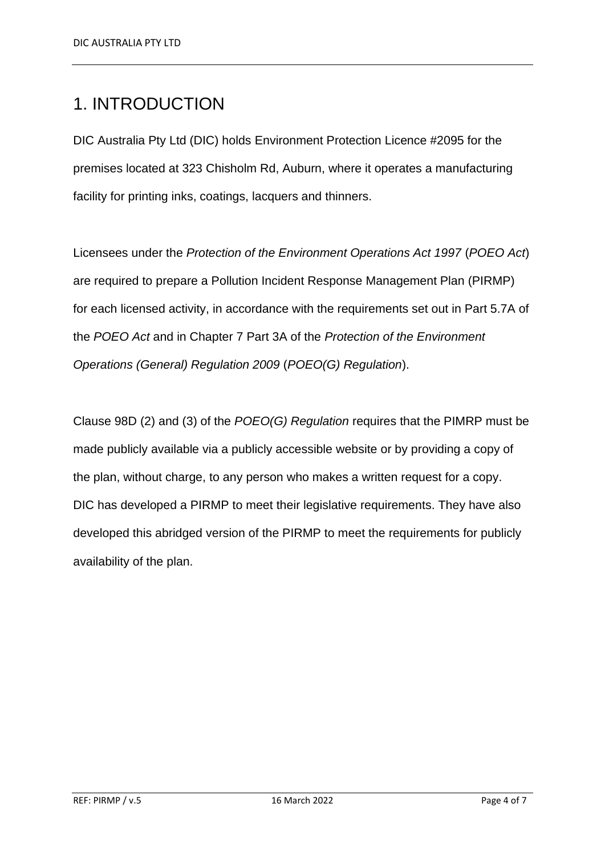# 1. INTRODUCTION

DIC Australia Pty Ltd (DIC) holds Environment Protection Licence #2095 for the premises located at 323 Chisholm Rd, Auburn, where it operates a manufacturing facility for printing inks, coatings, lacquers and thinners.

Licensees under the *Protection of the Environment Operations Act 1997* (*POEO Act*) are required to prepare a Pollution Incident Response Management Plan (PIRMP) for each licensed activity, in accordance with the requirements set out in Part 5.7A of the *POEO Act* and in Chapter 7 Part 3A of the *Protection of the Environment Operations (General) Regulation 2009* (*POEO(G) Regulation*).

Clause 98D (2) and (3) of the *POEO(G) Regulation* requires that the PIMRP must be made publicly available via a publicly accessible website or by providing a copy of the plan, without charge, to any person who makes a written request for a copy. DIC has developed a PIRMP to meet their legislative requirements. They have also developed this abridged version of the PIRMP to meet the requirements for publicly availability of the plan.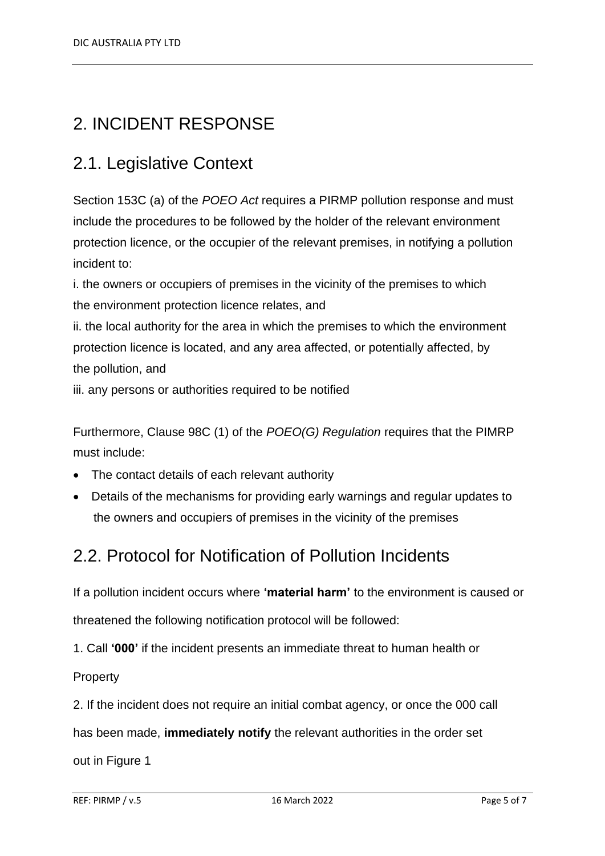# 2. INCIDENT RESPONSE

# 2.1. Legislative Context

Section 153C (a) of the *POEO Act* requires a PIRMP pollution response and must include the procedures to be followed by the holder of the relevant environment protection licence, or the occupier of the relevant premises, in notifying a pollution incident to:

i. the owners or occupiers of premises in the vicinity of the premises to which the environment protection licence relates, and

ii. the local authority for the area in which the premises to which the environment protection licence is located, and any area affected, or potentially affected, by the pollution, and

iii. any persons or authorities required to be notified

Furthermore, Clause 98C (1) of the *POEO(G) Regulation* requires that the PIMRP must include:

- The contact details of each relevant authority
- Details of the mechanisms for providing early warnings and regular updates to the owners and occupiers of premises in the vicinity of the premises

## 2.2. Protocol for Notification of Pollution Incidents

If a pollution incident occurs where **'material harm'** to the environment is caused or threatened the following notification protocol will be followed:

1. Call **'000'** if the incident presents an immediate threat to human health or

Property

2. If the incident does not require an initial combat agency, or once the 000 call

has been made, **immediately notify** the relevant authorities in the order set

out in Figure 1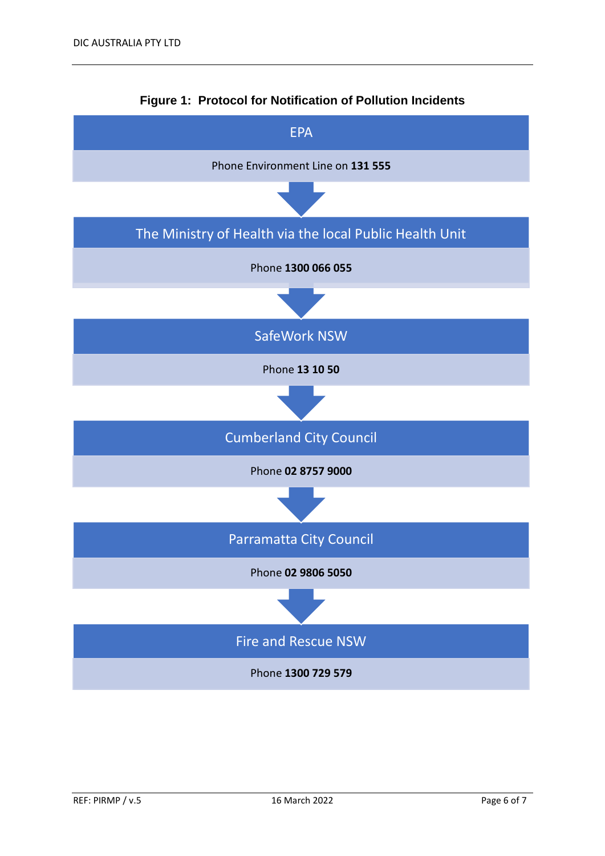

#### **Figure 1: Protocol for Notification of Pollution Incidents**